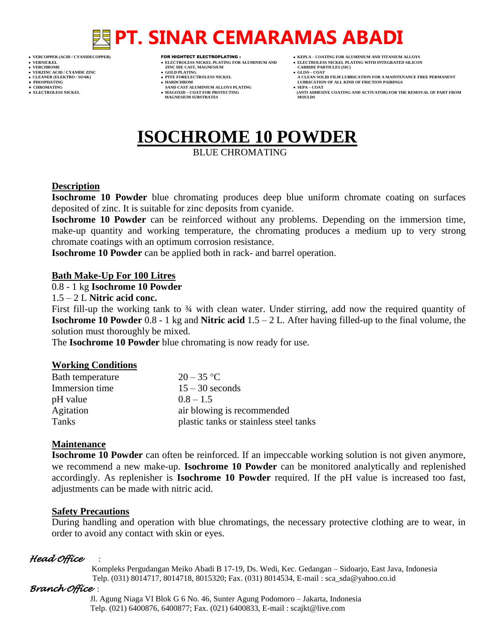## **PT. SINAR CEMARAMAS ABADI**

- 
- 

- **VERFORM ZINC DIE CAST, MAGNESIUM CARBIDE PARTICLES (SIC)**<br> **CARBIDE PARTING**
- **VERZINC ACID / CYANIDE ZINC GOLD PLATING GLISS – COAT**
	-
- **● CHROMATING SAND CAST ALUMINIUM ALLOYS PLATING SEPA – COAT MAGNESIUM SUBSTRATES**
- **VERCOPPER (ACID / CYANIDECOPPER)** FOR HIGHTECT ELECTROPLATING :  **KEPLA – COATING FOR ALUMINIUM AND TITANIUM ALLOYS**
- **VERNICKEL ELECTROLESS NICKEL PLATING FOR ALUMINIUM AND ELECTROLESS NICKEL PLATING WITH INTEGRATED SILICON**
	-
- **CLEANER (ELEKTRO / SOAK) PTFE FORELECTROLESS NICKEL A CLEAN SOLID FILM LUBRICATION FOR A MAINTENANCE FREE PERMANENT ● PHOSPHATING HARDCHROM LUBRICATION OF ALL KIND OF FRICTION PAIRINGS** 
	-
	- **ELECTROLESS AND ACTIVATOR) FOR THE REMOVAL OF PART FROM MOULDS**

## **ISOCHROME 10 POWDER**

BLUE CHROMATING

#### **Description**

**Isochrome 10 Powder** blue chromating produces deep blue uniform chromate coating on surfaces deposited of zinc. It is suitable for zinc deposits from cyanide.

**Isochrome 10 Powder** can be reinforced without any problems. Depending on the immersion time, make-up quantity and working temperature, the chromating produces a medium up to very strong chromate coatings with an optimum corrosion resistance.

**Isochrome 10 Powder** can be applied both in rack- and barrel operation.

#### **Bath Make-Up For 100 Litres**

#### 0.8 - 1 kg **Isochrome 10 Powder**

#### 1.5 – 2 L **Nitric acid conc.**

First fill-up the working tank to 34 with clean water. Under stirring, add now the required quantity of **Isochrome 10 Powder** 0.8 - 1 kg and **Nitric acid** 1.5 – 2 L. After having filled-up to the final volume, the solution must thoroughly be mixed.

The **Isochrome 10 Powder** blue chromating is now ready for use.

### **Working Conditions**

| Bath temperature | $20 - 35$ °C                           |
|------------------|----------------------------------------|
| Immersion time   | $15 - 30$ seconds                      |
| pH value         | $0.8 - 1.5$                            |
| Agitation        | air blowing is recommended             |
| Tanks            | plastic tanks or stainless steel tanks |

### **Maintenance**

**Isochrome 10 Powder** can often be reinforced. If an impeccable working solution is not given anymore, we recommend a new make-up. **Isochrome 10 Powder** can be monitored analytically and replenished accordingly. As replenisher is **Isochrome 10 Powder** required. If the pH value is increased too fast, adjustments can be made with nitric acid.

### **Safety Precautions**

During handling and operation with blue chromatings, the necessary protective clothing are to wear, in order to avoid any contact with skin or eyes.

### *Head Office* :

 Kompleks Pergudangan Meiko Abadi B 17-19, Ds. Wedi, Kec. Gedangan – Sidoarjo, East Java, Indonesia Telp. (031) 8014717, 8014718, 8015320; Fax. (031) 8014534, E-mail : sca\_sda@yahoo.co.id

### *Branch Office* :

 Jl. Agung Niaga VI Blok G 6 No. 46, Sunter Agung Podomoro – Jakarta, Indonesia Telp. (021) 6400876, 6400877; Fax. (021) 6400833, E-mail : scajkt@live.com